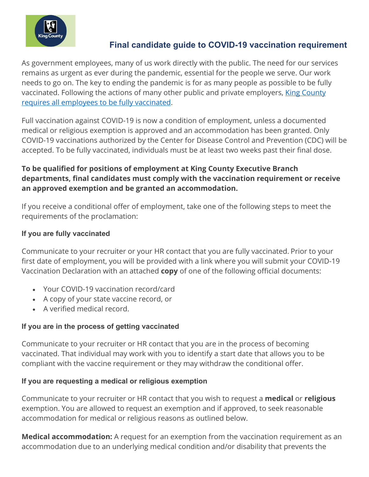

# **Final candidate guide to COVID-19 vaccination requirement**

As government employees, many of us work directly with the public. The need for our services remains as urgent as ever during the pandemic, essential for the people we serve. Our work needs to go on. The key to ending the pandemic is for as many people as possible to be fully vaccinated. Following the actions of many other public and private employers, [King County](https://kcemployees.com/2021/08/09/king-county-to-require-all-employees-to-be-fully-vaccinated-by-oct-18-2021/)  [requires all employees to be fully vaccinated.](https://kcemployees.com/2021/08/09/king-county-to-require-all-employees-to-be-fully-vaccinated-by-oct-18-2021/)

Full vaccination against COVID-19 is now a condition of employment, unless a documented medical or religious exemption is approved and an accommodation has been granted. Only COVID-19 vaccinations authorized by the Center for Disease Control and Prevention (CDC) will be accepted. To be fully vaccinated, individuals must be at least two weeks past their final dose.

## **To be qualified for positions of employment at King County Executive Branch departments, final candidates must comply with the vaccination requirement or receive an approved exemption and be granted an accommodation.**

If you receive a conditional offer of employment, take one of the following steps to meet the requirements of the proclamation:

### **If you are fully vaccinated**

Communicate to your recruiter or your HR contact that you are fully vaccinated. Prior to your first date of employment, you will be provided with a link where you will submit your COVID-19 Vaccination Declaration with an attached **copy** of one of the following official documents:

- Your COVID-19 vaccination record/card
- A copy of your state vaccine record, or
- A verified medical record.

## **If you are in the process of getting vaccinated**

Communicate to your recruiter or HR contact that you are in the process of becoming vaccinated. That individual may work with you to identify a start date that allows you to be compliant with the vaccine requirement or they may withdraw the conditional offer.

#### **If you are requesting a medical or religious exemption**

Communicate to your recruiter or HR contact that you wish to request a **medical** or **religious** exemption. You are allowed to request an exemption and if approved, to seek reasonable accommodation for medical or religious reasons as outlined below.

**Medical accommodation:** A request for an exemption from the vaccination requirement as an accommodation due to an underlying medical condition and/or disability that prevents the